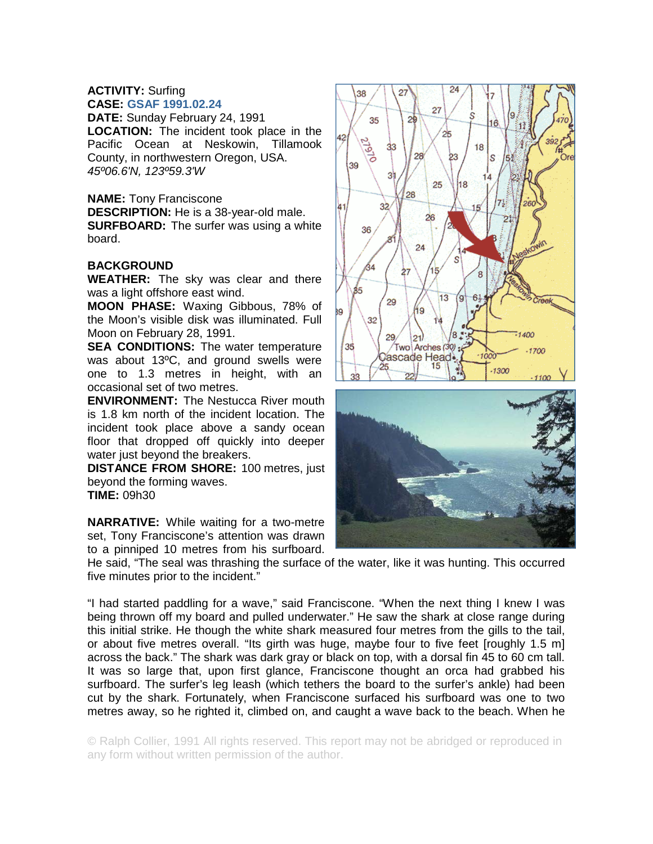## **ACTIVITY:** Surfing **CASE: GSAF 1991.02.24**

**DATE:** Sunday February 24, 1991 **LOCATION:** The incident took place in the Pacific Ocean at Neskowin, Tillamook County, in northwestern Oregon, USA. *45º06.6'N, 123º59.3'W* 

## **NAME:** Tony Franciscone

**DESCRIPTION:** He is a 38-year-old male.

**SURFBOARD:** The surfer was using a white board.

## **BACKGROUND**

**WEATHER:** The sky was clear and there was a light offshore east wind.

**MOON PHASE:** Waxing Gibbous, 78% of the Moon's visible disk was illuminated. Full Moon on February 28, 1991.

**SEA CONDITIONS:** The water temperature was about 13ºC, and ground swells were one to 1.3 metres in height, with an occasional set of two metres.

**ENVIRONMENT:** The Nestucca River mouth is 1.8 km north of the incident location. The incident took place above a sandy ocean floor that dropped off quickly into deeper water just beyond the breakers.

**DISTANCE FROM SHORE:** 100 metres, just beyond the forming waves. **TIME:** 09h30

**NARRATIVE:** While waiting for a two-metre set, Tony Franciscone's attention was drawn to a pinniped 10 metres from his surfboard.

He said, "The seal was thrashing the surface of the water, like it was hunting. This occurred five minutes prior to the incident."

"I had started paddling for a wave," said Franciscone. "When the next thing I knew I was being thrown off my board and pulled underwater." He saw the shark at close range during this initial strike. He though the white shark measured four metres from the gills to the tail, or about five metres overall. "Its girth was huge, maybe four to five feet [roughly 1.5 m] across the back." The shark was dark gray or black on top, with a dorsal fin 45 to 60 cm tall. It was so large that, upon first glance, Franciscone thought an orca had grabbed his surfboard. The surfer's leg leash (which tethers the board to the surfer's ankle) had been cut by the shark. Fortunately, when Franciscone surfaced his surfboard was one to two metres away, so he righted it, climbed on, and caught a wave back to the beach. When he

© Ralph Collier, 1991 All rights reserved. This report may not be abridged or reproduced in any form without written permission of the author.